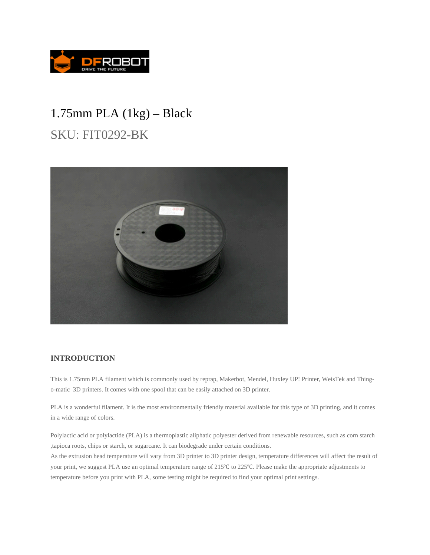

## 1.75mm PLA (1kg) – Black

SKU: FIT0292-BK



## **INTRODUCTION**

This is 1.75mm PLA filament which is commonly used by reprap, Makerbot, Mendel, Huxley UP! Printer, WeisTek and Thingo-matic 3D printers. It comes with one spool that can be easily attached on 3D printer.

PLA is a wonderful filament. It is the most environmentally friendly material available for this type of 3D printing, and it comes in a wide range of colors.

Polylactic acid or polylactide (PLA) is a thermoplastic aliphatic polyester derived from renewable resources, such as corn starch ,tapioca roots, chips or starch, or sugarcane. It can biodegrade under certain conditions.

As the extrusion head temperature will vary from 3D printer to 3D printer design, temperature differences will affect the result of your print, we suggest PLA use an optimal temperature range of 215°C to 225°C. Please make the appropriate adjustments to temperature before you print with PLA, some testing might be required to find your optimal print settings.